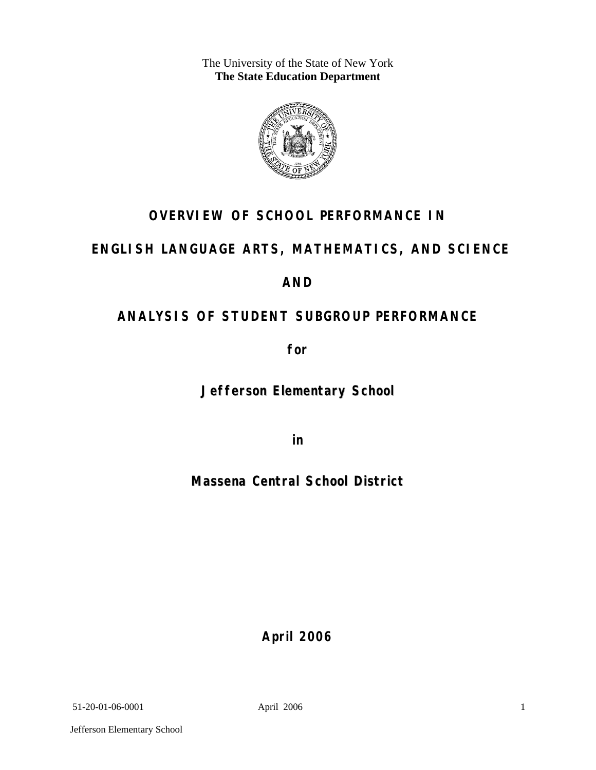The University of the State of New York **The State Education Department** 



# **OVERVIEW OF SCHOOL PERFORMANCE IN**

# **ENGLISH LANGUAGE ARTS, MATHEMATICS, AND SCIENCE**

# **AND**

# **ANALYSIS OF STUDENT SUBGROUP PERFORMANCE**

**for** 

**Jefferson Elementary School**

**in** 

**Massena Central School District**

**April 2006**

51-20-01-06-0001 April 2006

Jefferson Elementary School

1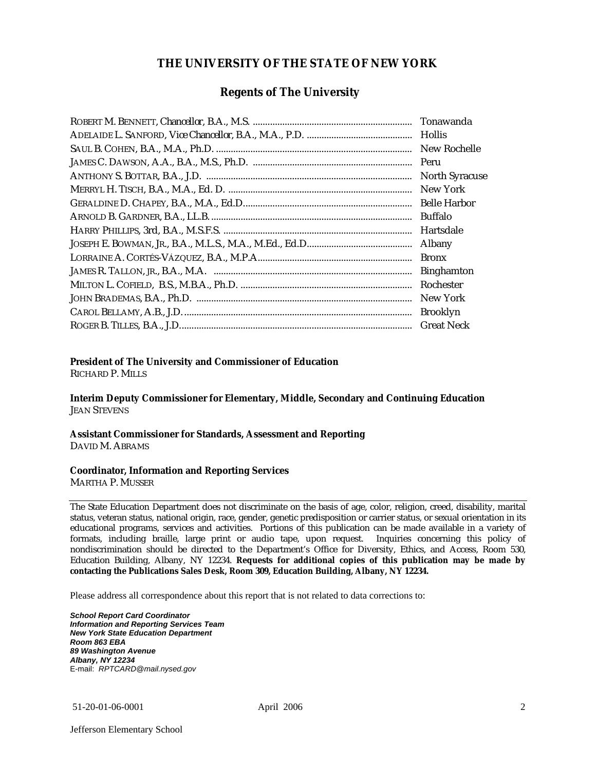#### **THE UNIVERSITY OF THE STATE OF NEW YORK**

#### **Regents of The University**

| Hollis                |
|-----------------------|
| New Rochelle          |
|                       |
| <b>North Syracuse</b> |
| New York              |
|                       |
| Buffalo               |
| Hartsdale             |
| Albany                |
| <b>Bronx</b>          |
| <b>Binghamton</b>     |
| Rochester             |
| New York              |
| <b>Brooklyn</b>       |
| <b>Great Neck</b>     |

#### **President of The University and Commissioner of Education**

RICHARD P. MILLS

**Interim Deputy Commissioner for Elementary, Middle, Secondary and Continuing Education**  JEAN STEVENS

#### **Assistant Commissioner for Standards, Assessment and Reporting**  DAVID M. ABRAMS

#### **Coordinator, Information and Reporting Services**

MARTHA P. MUSSER

The State Education Department does not discriminate on the basis of age, color, religion, creed, disability, marital status, veteran status, national origin, race, gender, genetic predisposition or carrier status, or sexual orientation in its educational programs, services and activities. Portions of this publication can be made available in a variety of formats, including braille, large print or audio tape, upon request. Inquiries concerning this policy of nondiscrimination should be directed to the Department's Office for Diversity, Ethics, and Access, Room 530, Education Building, Albany, NY 12234. **Requests for additional copies of this publication may be made by contacting the Publications Sales Desk, Room 309, Education Building, Albany, NY 12234.** 

Please address all correspondence about this report that is not related to data corrections to:

*School Report Card Coordinator Information and Reporting Services Team New York State Education Department Room 863 EBA 89 Washington Avenue Albany, NY 12234*  E-mail: *RPTCARD@mail.nysed.gov*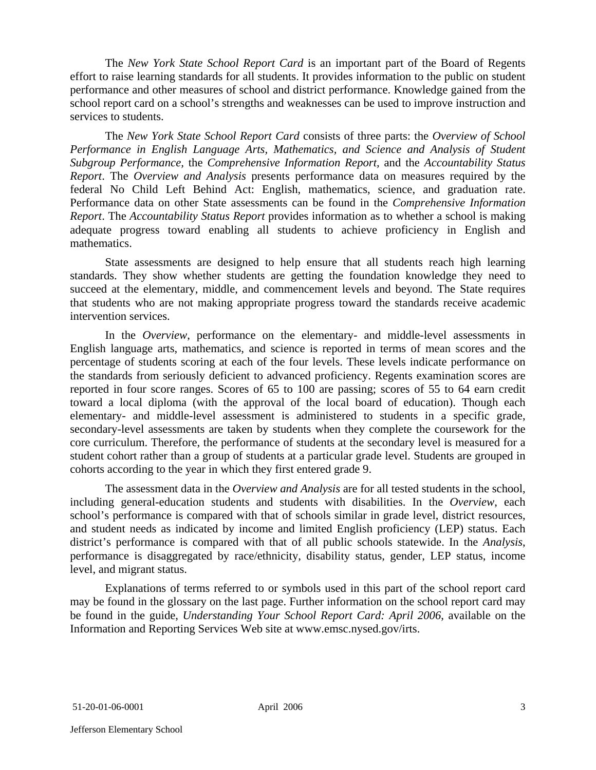The *New York State School Report Card* is an important part of the Board of Regents effort to raise learning standards for all students. It provides information to the public on student performance and other measures of school and district performance. Knowledge gained from the school report card on a school's strengths and weaknesses can be used to improve instruction and services to students.

The *New York State School Report Card* consists of three parts: the *Overview of School Performance in English Language Arts, Mathematics, and Science and Analysis of Student Subgroup Performance,* the *Comprehensive Information Report,* and the *Accountability Status Report*. The *Overview and Analysis* presents performance data on measures required by the federal No Child Left Behind Act: English, mathematics, science, and graduation rate. Performance data on other State assessments can be found in the *Comprehensive Information Report*. The *Accountability Status Report* provides information as to whether a school is making adequate progress toward enabling all students to achieve proficiency in English and mathematics.

State assessments are designed to help ensure that all students reach high learning standards. They show whether students are getting the foundation knowledge they need to succeed at the elementary, middle, and commencement levels and beyond. The State requires that students who are not making appropriate progress toward the standards receive academic intervention services.

In the *Overview*, performance on the elementary- and middle-level assessments in English language arts, mathematics, and science is reported in terms of mean scores and the percentage of students scoring at each of the four levels. These levels indicate performance on the standards from seriously deficient to advanced proficiency. Regents examination scores are reported in four score ranges. Scores of 65 to 100 are passing; scores of 55 to 64 earn credit toward a local diploma (with the approval of the local board of education). Though each elementary- and middle-level assessment is administered to students in a specific grade, secondary-level assessments are taken by students when they complete the coursework for the core curriculum. Therefore, the performance of students at the secondary level is measured for a student cohort rather than a group of students at a particular grade level. Students are grouped in cohorts according to the year in which they first entered grade 9.

The assessment data in the *Overview and Analysis* are for all tested students in the school, including general-education students and students with disabilities. In the *Overview*, each school's performance is compared with that of schools similar in grade level, district resources, and student needs as indicated by income and limited English proficiency (LEP) status. Each district's performance is compared with that of all public schools statewide. In the *Analysis*, performance is disaggregated by race/ethnicity, disability status, gender, LEP status, income level, and migrant status.

Explanations of terms referred to or symbols used in this part of the school report card may be found in the glossary on the last page. Further information on the school report card may be found in the guide, *Understanding Your School Report Card: April 2006*, available on the Information and Reporting Services Web site at www.emsc.nysed.gov/irts.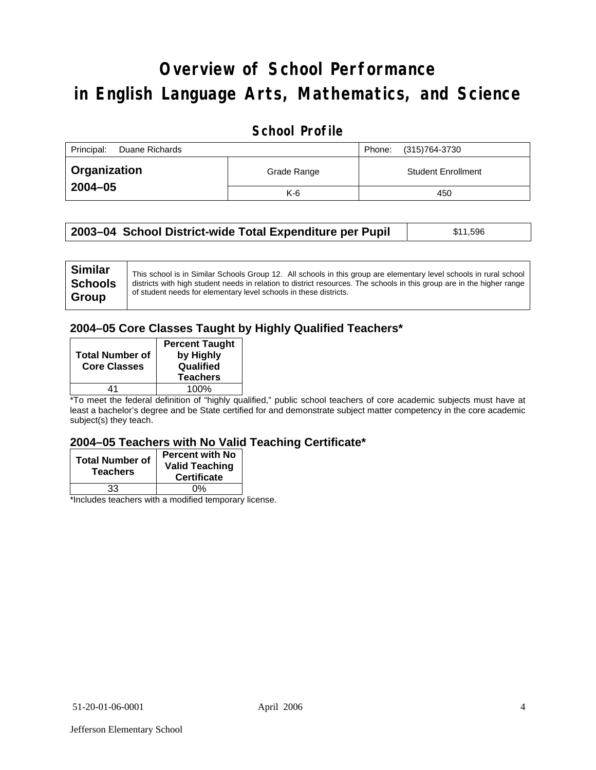# **Overview of School Performance in English Language Arts, Mathematics, and Science**

## **School Profile**

| Principal:<br>Duane Richards |             | (315)764-3730<br>Phone:   |
|------------------------------|-------------|---------------------------|
| Organization                 | Grade Range | <b>Student Enrollment</b> |
| 2004-05                      | $K-6$       | 450                       |

| 2003–04 School District-wide Total Expenditure per Pupil | \$11,596 |
|----------------------------------------------------------|----------|
|----------------------------------------------------------|----------|

## **2004–05 Core Classes Taught by Highly Qualified Teachers\***

| <b>Total Number of</b><br><b>Core Classes</b> | <b>Percent Taught</b><br>by Highly<br>Qualified |
|-----------------------------------------------|-------------------------------------------------|
|                                               | <b>Teachers</b>                                 |
| 44                                            | 100%                                            |

\*To meet the federal definition of "highly qualified," public school teachers of core academic subjects must have at least a bachelor's degree and be State certified for and demonstrate subject matter competency in the core academic subject(s) they teach.

#### **2004–05 Teachers with No Valid Teaching Certificate\***

| <b>Total Number of</b><br><b>Teachers</b> | <b>Percent with No</b><br><b>Valid Teaching</b><br><b>Certificate</b> |
|-------------------------------------------|-----------------------------------------------------------------------|
| 33                                        | 0%                                                                    |
| $\mathbf{A}$<br>$\cdots$                  |                                                                       |

\*Includes teachers with a modified temporary license.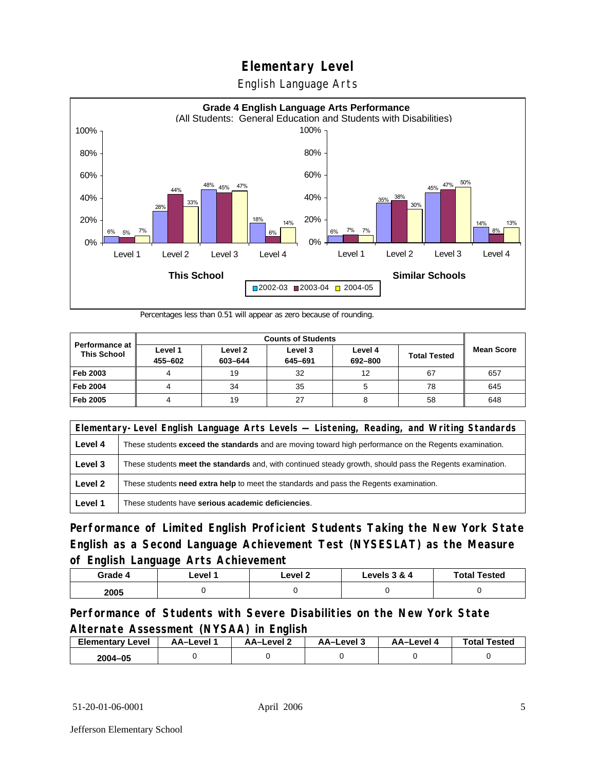English Language Arts



Percentages less than 0.51 will appear as zero because of rounding.

|                                             |                    |                    | <b>Counts of Students</b> |                    |                     |                   |
|---------------------------------------------|--------------------|--------------------|---------------------------|--------------------|---------------------|-------------------|
| <b>Performance at</b><br><b>This School</b> | Level 1<br>455-602 | Level 2<br>603-644 | Level 3<br>645-691        | Level 4<br>692-800 | <b>Total Tested</b> | <b>Mean Score</b> |
| Feb 2003                                    |                    | 19                 | 32                        | 12                 | 67                  | 657               |
| <b>Feb 2004</b>                             |                    | 34                 | 35                        |                    | 78                  | 645               |
| Feb 2005                                    |                    | 19                 | 27                        |                    | 58                  | 648               |

| Elementary-Level English Language Arts Levels — Listening, Reading, and Writing Standards |                                                                                                               |  |
|-------------------------------------------------------------------------------------------|---------------------------------------------------------------------------------------------------------------|--|
| Level 4                                                                                   | These students <b>exceed the standards</b> and are moving toward high performance on the Regents examination. |  |
| Level 3                                                                                   | These students meet the standards and, with continued steady growth, should pass the Regents examination.     |  |
| Level 2                                                                                   | These students need extra help to meet the standards and pass the Regents examination.                        |  |
| Level 1                                                                                   | These students have serious academic deficiencies.                                                            |  |

**Performance of Limited English Proficient Students Taking the New York State English as a Second Language Achievement Test (NYSESLAT) as the Measure of English Language Arts Achievement**

| Grade 4 | ∟evel ′ | Level 2 | Levels 3 & 4 | <b>Total Tested</b> |
|---------|---------|---------|--------------|---------------------|
| 2005    |         |         |              |                     |

### **Performance of Students with Severe Disabilities on the New York State Alternate Assessment (NYSAA) in English**

| <b>Elementary Level</b> | AA–Level | AA-Level 2 | AA-Level 3 | AA-Level 4 | <b>Total Tested</b> |
|-------------------------|----------|------------|------------|------------|---------------------|
| 2004-05                 |          |            |            |            |                     |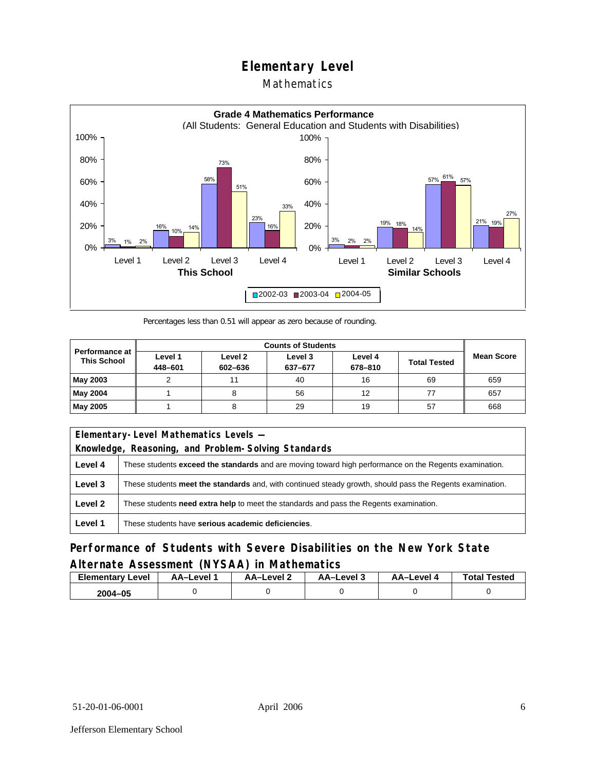## Mathematics



Percentages less than 0.51 will appear as zero because of rounding.

|                                             |                    |                    | <b>Counts of Students</b> |                    |                     |                   |
|---------------------------------------------|--------------------|--------------------|---------------------------|--------------------|---------------------|-------------------|
| <b>Performance at</b><br><b>This School</b> | Level 1<br>448-601 | Level 2<br>602-636 | Level 3<br>637-677        | Level 4<br>678-810 | <b>Total Tested</b> | <b>Mean Score</b> |
| May 2003                                    |                    |                    | 40                        | 16                 | 69                  | 659               |
| May 2004                                    |                    |                    | 56                        | 12                 |                     | 657               |
| May 2005                                    |                    |                    | 29                        | 19                 | 57                  | 668               |

|         | Elementary-Level Mathematics Levels -                                                                         |  |  |
|---------|---------------------------------------------------------------------------------------------------------------|--|--|
|         | Knowledge, Reasoning, and Problem-Solving Standards                                                           |  |  |
| Level 4 | These students <b>exceed the standards</b> and are moving toward high performance on the Regents examination. |  |  |
| Level 3 | These students meet the standards and, with continued steady growth, should pass the Regents examination.     |  |  |
| Level 2 | These students <b>need extra help</b> to meet the standards and pass the Regents examination.                 |  |  |
| Level 1 | These students have serious academic deficiencies.                                                            |  |  |

## **Performance of Students with Severe Disabilities on the New York State Alternate Assessment (NYSAA) in Mathematics**

| Elementary<br>Level | AA–Level | – AA–Level ∠ | د AA–Level | AA-Level · | <b>Total Tested</b> |
|---------------------|----------|--------------|------------|------------|---------------------|
| 2004-05             |          |              |            |            |                     |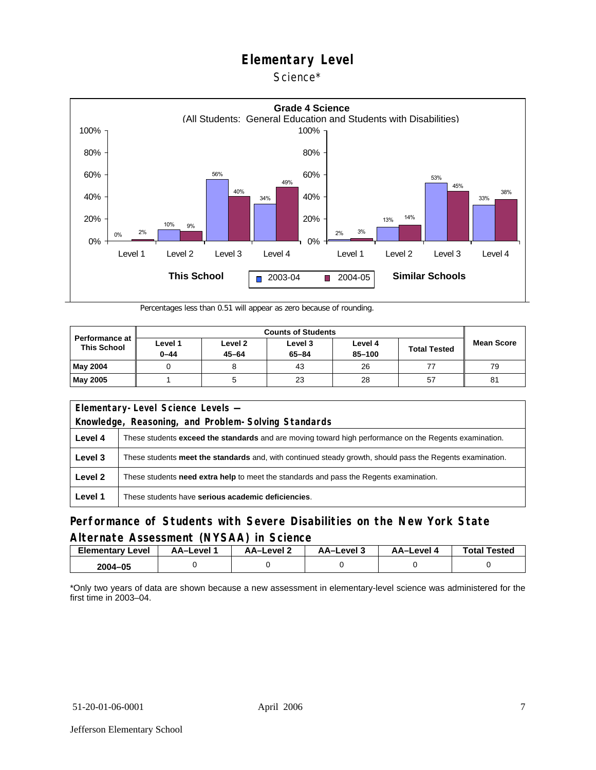Science\*



Percentages less than 0.51 will appear as zero because of rounding.

| <b>Performance at</b><br><b>This School</b> |                     |                      |                      |                   |                     |                   |
|---------------------------------------------|---------------------|----------------------|----------------------|-------------------|---------------------|-------------------|
|                                             | Level 1<br>$0 - 44$ | Level 2<br>$45 - 64$ | Level 3<br>$65 - 84$ | Level 4<br>85-100 | <b>Total Tested</b> | <b>Mean Score</b> |
| <b>May 2004</b>                             |                     |                      | 43                   | 26                |                     | 79                |
| <b>May 2005</b>                             |                     |                      | 23                   | 28                | 57                  | 81                |

| Elementary-Level Science Levels -<br>Knowledge, Reasoning, and Problem-Solving Standards |                                                                                                               |  |  |  |  |  |  |
|------------------------------------------------------------------------------------------|---------------------------------------------------------------------------------------------------------------|--|--|--|--|--|--|
| Level 4                                                                                  | These students <b>exceed the standards</b> and are moving toward high performance on the Regents examination. |  |  |  |  |  |  |
| Level 3                                                                                  | These students meet the standards and, with continued steady growth, should pass the Regents examination.     |  |  |  |  |  |  |
| Level 2                                                                                  | These students <b>need extra help</b> to meet the standards and pass the Regents examination.                 |  |  |  |  |  |  |
| Level 1                                                                                  | These students have serious academic deficiencies.                                                            |  |  |  |  |  |  |

### **Performance of Students with Severe Disabilities on the New York State Alternate Assessment (NYSAA) in Science**

| <b>Elementary Level</b> | AA-Level | <b>AA-Level 2</b> | AA-Level 3 | AA-Level 4 | <b>Total Tested</b> |
|-------------------------|----------|-------------------|------------|------------|---------------------|
| 2004-05                 |          |                   |            |            |                     |

\*Only two years of data are shown because a new assessment in elementary-level science was administered for the first time in 2003–04.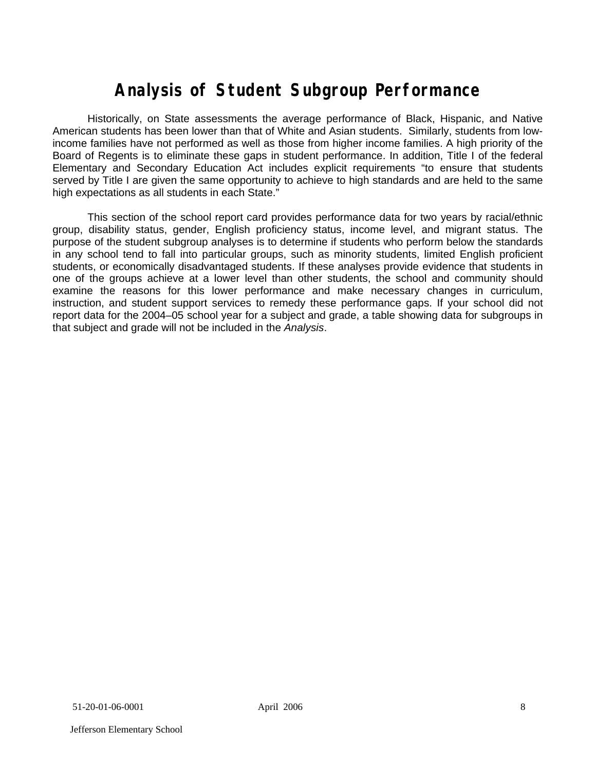# **Analysis of Student Subgroup Performance**

Historically, on State assessments the average performance of Black, Hispanic, and Native American students has been lower than that of White and Asian students. Similarly, students from lowincome families have not performed as well as those from higher income families. A high priority of the Board of Regents is to eliminate these gaps in student performance. In addition, Title I of the federal Elementary and Secondary Education Act includes explicit requirements "to ensure that students served by Title I are given the same opportunity to achieve to high standards and are held to the same high expectations as all students in each State."

This section of the school report card provides performance data for two years by racial/ethnic group, disability status, gender, English proficiency status, income level, and migrant status. The purpose of the student subgroup analyses is to determine if students who perform below the standards in any school tend to fall into particular groups, such as minority students, limited English proficient students, or economically disadvantaged students. If these analyses provide evidence that students in one of the groups achieve at a lower level than other students, the school and community should examine the reasons for this lower performance and make necessary changes in curriculum, instruction, and student support services to remedy these performance gaps. If your school did not report data for the 2004–05 school year for a subject and grade, a table showing data for subgroups in that subject and grade will not be included in the *Analysis*.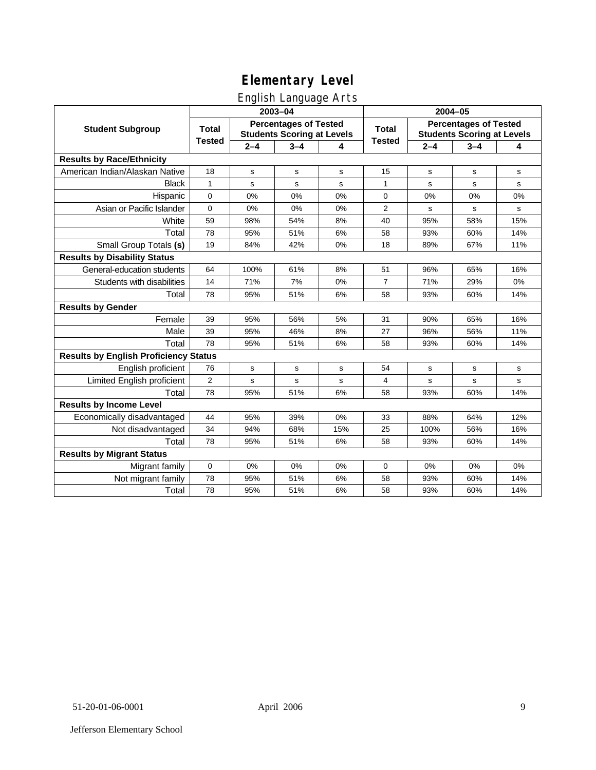## English Language Arts

|                                              |                                                                                   |         | ັ<br>2003-04 |              | 2004-05                                                           |             |             |             |
|----------------------------------------------|-----------------------------------------------------------------------------------|---------|--------------|--------------|-------------------------------------------------------------------|-------------|-------------|-------------|
| <b>Student Subgroup</b>                      | <b>Percentages of Tested</b><br><b>Total</b><br><b>Students Scoring at Levels</b> |         |              | <b>Total</b> | <b>Percentages of Tested</b><br><b>Students Scoring at Levels</b> |             |             |             |
|                                              | <b>Tested</b>                                                                     | $2 - 4$ | $3 - 4$      | 4            | <b>Tested</b>                                                     | $2 - 4$     | $3 - 4$     | 4           |
| <b>Results by Race/Ethnicity</b>             |                                                                                   |         |              |              |                                                                   |             |             |             |
| American Indian/Alaskan Native               | 18                                                                                | s       | $\mathbf s$  | s            | 15                                                                | $\mathbf s$ | $\mathbf s$ | s           |
| <b>Black</b>                                 | $\mathbf{1}$                                                                      | s       | s            | s            | 1                                                                 | s           | s           | $\mathbf s$ |
| Hispanic                                     | $\mathbf 0$                                                                       | 0%      | 0%           | 0%           | 0                                                                 | 0%          | 0%          | 0%          |
| Asian or Pacific Islander                    | $\mathbf 0$                                                                       | 0%      | 0%           | 0%           | 2                                                                 | s           | s           | s           |
| White                                        | 59                                                                                | 98%     | 54%          | 8%           | 40                                                                | 95%         | 58%         | 15%         |
| Total                                        | 78                                                                                | 95%     | 51%          | 6%           | 58                                                                | 93%         | 60%         | 14%         |
| Small Group Totals (s)                       | 19                                                                                | 84%     | 42%          | 0%           | 18                                                                | 89%         | 67%         | 11%         |
| <b>Results by Disability Status</b>          |                                                                                   |         |              |              |                                                                   |             |             |             |
| General-education students                   | 64                                                                                | 100%    | 61%          | 8%           | 51                                                                | 96%         | 65%         | 16%         |
| Students with disabilities                   | 14                                                                                | 71%     | 7%           | 0%           | $\overline{7}$                                                    | 71%         | 29%         | 0%          |
| Total                                        | 78                                                                                | 95%     | 51%          | 6%           | 58                                                                | 93%         | 60%         | 14%         |
| <b>Results by Gender</b>                     |                                                                                   |         |              |              |                                                                   |             |             |             |
| Female                                       | 39                                                                                | 95%     | 56%          | 5%           | 31                                                                | 90%         | 65%         | 16%         |
| Male                                         | 39                                                                                | 95%     | 46%          | 8%           | 27                                                                | 96%         | 56%         | 11%         |
| Total                                        | 78                                                                                | 95%     | 51%          | 6%           | 58                                                                | 93%         | 60%         | 14%         |
| <b>Results by English Proficiency Status</b> |                                                                                   |         |              |              |                                                                   |             |             |             |
| English proficient                           | 76                                                                                | s       | s            | s            | 54                                                                | s           | s           | s           |
| Limited English proficient                   | $\overline{2}$                                                                    | s       | $\mathbf s$  | s            | $\overline{4}$                                                    | s           | s           | s           |
| Total                                        | 78                                                                                | 95%     | 51%          | 6%           | 58                                                                | 93%         | 60%         | 14%         |
| <b>Results by Income Level</b>               |                                                                                   |         |              |              |                                                                   |             |             |             |
| Economically disadvantaged                   | 44                                                                                | 95%     | 39%          | 0%           | 33                                                                | 88%         | 64%         | 12%         |
| Not disadvantaged                            | 34                                                                                | 94%     | 68%          | 15%          | 25                                                                | 100%        | 56%         | 16%         |
| Total                                        | 78                                                                                | 95%     | 51%          | 6%           | 58                                                                | 93%         | 60%         | 14%         |
| <b>Results by Migrant Status</b>             |                                                                                   |         |              |              |                                                                   |             |             |             |
| Migrant family                               | $\mathbf 0$                                                                       | 0%      | 0%           | 0%           | $\mathbf 0$                                                       | 0%          | 0%          | 0%          |
| Not migrant family                           | 78                                                                                | 95%     | 51%          | 6%           | 58                                                                | 93%         | 60%         | 14%         |
| Total                                        | 78                                                                                | 95%     | 51%          | 6%           | 58                                                                | 93%         | 60%         | 14%         |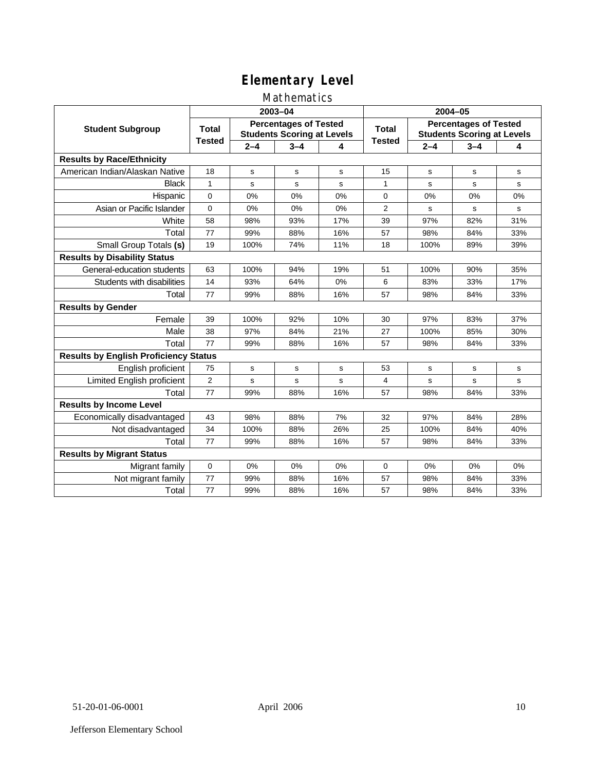## Mathematics

|                                              |                |             | 2003-04                                                           |     | 2004-05                |                                                                   |         |     |  |
|----------------------------------------------|----------------|-------------|-------------------------------------------------------------------|-----|------------------------|-------------------------------------------------------------------|---------|-----|--|
| <b>Student Subgroup</b>                      | <b>Total</b>   |             | <b>Percentages of Tested</b><br><b>Students Scoring at Levels</b> |     | Total<br><b>Tested</b> | <b>Percentages of Tested</b><br><b>Students Scoring at Levels</b> |         |     |  |
|                                              | <b>Tested</b>  | $2 - 4$     | $3 - 4$                                                           | 4   |                        | $2 - 4$                                                           | $3 - 4$ | 4   |  |
| <b>Results by Race/Ethnicity</b>             |                |             |                                                                   |     |                        |                                                                   |         |     |  |
| American Indian/Alaskan Native               | 18             | s           | s                                                                 | s   | 15                     | s                                                                 | s       | s   |  |
| <b>Black</b>                                 | $\mathbf{1}$   | s           | s                                                                 | s   | 1                      | s                                                                 | s       | s   |  |
| Hispanic                                     | 0              | 0%          | 0%                                                                | 0%  | $\mathbf 0$            | 0%                                                                | 0%      | 0%  |  |
| Asian or Pacific Islander                    | 0              | 0%          | 0%                                                                | 0%  | 2                      | s                                                                 | s       | s   |  |
| White                                        | 58             | 98%         | 93%                                                               | 17% | 39                     | 97%                                                               | 82%     | 31% |  |
| Total                                        | 77             | 99%         | 88%                                                               | 16% | 57                     | 98%                                                               | 84%     | 33% |  |
| Small Group Totals (s)                       | 19             | 100%        | 74%                                                               | 11% | 18                     | 100%                                                              | 89%     | 39% |  |
| <b>Results by Disability Status</b>          |                |             |                                                                   |     |                        |                                                                   |         |     |  |
| General-education students                   | 63             | 100%        | 94%                                                               | 19% | 51                     | 100%                                                              | 90%     | 35% |  |
| Students with disabilities                   | 14             | 93%         | 64%                                                               | 0%  | 6                      | 83%                                                               | 33%     | 17% |  |
| Total                                        | 77             | 99%         | 88%                                                               | 16% | 57                     | 98%                                                               | 84%     | 33% |  |
| <b>Results by Gender</b>                     |                |             |                                                                   |     |                        |                                                                   |         |     |  |
| Female                                       | 39             | 100%        | 92%                                                               | 10% | 30                     | 97%                                                               | 83%     | 37% |  |
| Male                                         | 38             | 97%         | 84%                                                               | 21% | 27                     | 100%                                                              | 85%     | 30% |  |
| Total                                        | 77             | 99%         | 88%                                                               | 16% | 57                     | 98%                                                               | 84%     | 33% |  |
| <b>Results by English Proficiency Status</b> |                |             |                                                                   |     |                        |                                                                   |         |     |  |
| English proficient                           | 75             | $\mathbf s$ | s                                                                 | s   | 53                     | s                                                                 | s       | s   |  |
| <b>Limited English proficient</b>            | $\overline{2}$ | s           | $\mathbf s$                                                       | s   | $\overline{4}$         | s                                                                 | s       | s   |  |
| Total                                        | 77             | 99%         | 88%                                                               | 16% | 57                     | 98%                                                               | 84%     | 33% |  |
| <b>Results by Income Level</b>               |                |             |                                                                   |     |                        |                                                                   |         |     |  |
| Economically disadvantaged                   | 43             | 98%         | 88%                                                               | 7%  | 32                     | 97%                                                               | 84%     | 28% |  |
| Not disadvantaged                            | 34             | 100%        | 88%                                                               | 26% | 25                     | 100%                                                              | 84%     | 40% |  |
| Total                                        | 77             | 99%         | 88%                                                               | 16% | 57                     | 98%                                                               | 84%     | 33% |  |
| <b>Results by Migrant Status</b>             |                |             |                                                                   |     |                        |                                                                   |         |     |  |
| Migrant family                               | $\mathbf 0$    | 0%          | 0%                                                                | 0%  | $\Omega$               | 0%                                                                | $0\%$   | 0%  |  |
| Not migrant family                           | 77             | 99%         | 88%                                                               | 16% | 57                     | 98%                                                               | 84%     | 33% |  |
| Total                                        | 77             | 99%         | 88%                                                               | 16% | 57                     | 98%                                                               | 84%     | 33% |  |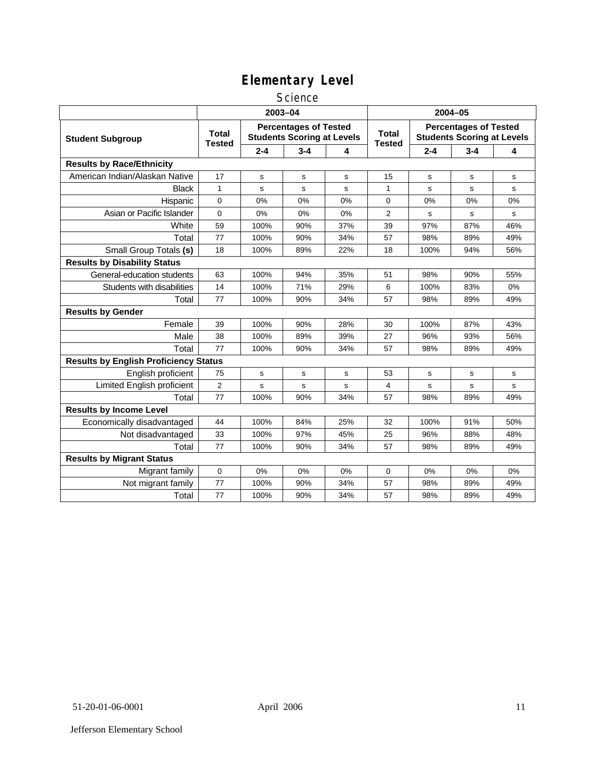#### **Science**

|                                              | 2003-04                                                                                            |         |         |                               |                                                                   | $2004 - 05$ |         |     |  |
|----------------------------------------------|----------------------------------------------------------------------------------------------------|---------|---------|-------------------------------|-------------------------------------------------------------------|-------------|---------|-----|--|
| <b>Student Subgroup</b>                      | <b>Percentages of Tested</b><br><b>Total</b><br><b>Students Scoring at Levels</b><br><b>Tested</b> |         |         | <b>Total</b><br><b>Tested</b> | <b>Percentages of Tested</b><br><b>Students Scoring at Levels</b> |             |         |     |  |
|                                              |                                                                                                    | $2 - 4$ | $3 - 4$ | 4                             |                                                                   | $2 - 4$     | $3 - 4$ | 4   |  |
| <b>Results by Race/Ethnicity</b>             |                                                                                                    |         |         |                               |                                                                   |             |         |     |  |
| American Indian/Alaskan Native               | 17                                                                                                 | s       | s       | s                             | 15                                                                | s           | s       | s   |  |
| <b>Black</b>                                 | $\mathbf{1}$                                                                                       | s       | s       | s                             | 1                                                                 | s           | s       | s   |  |
| Hispanic                                     | 0                                                                                                  | 0%      | 0%      | 0%                            | 0                                                                 | 0%          | 0%      | 0%  |  |
| Asian or Pacific Islander                    | 0                                                                                                  | 0%      | 0%      | 0%                            | $\overline{2}$                                                    | s           | s       | s   |  |
| White                                        | 59                                                                                                 | 100%    | 90%     | 37%                           | 39                                                                | 97%         | 87%     | 46% |  |
| Total                                        | 77                                                                                                 | 100%    | 90%     | 34%                           | 57                                                                | 98%         | 89%     | 49% |  |
| Small Group Totals (s)                       | 18                                                                                                 | 100%    | 89%     | 22%                           | 18                                                                | 100%        | 94%     | 56% |  |
| <b>Results by Disability Status</b>          |                                                                                                    |         |         |                               |                                                                   |             |         |     |  |
| General-education students                   | 63                                                                                                 | 100%    | 94%     | 35%                           | 51                                                                | 98%         | 90%     | 55% |  |
| Students with disabilities                   | 14                                                                                                 | 100%    | 71%     | 29%                           | 6                                                                 | 100%        | 83%     | 0%  |  |
| Total                                        | 77                                                                                                 | 100%    | 90%     | 34%                           | 57                                                                | 98%         | 89%     | 49% |  |
| <b>Results by Gender</b>                     |                                                                                                    |         |         |                               |                                                                   |             |         |     |  |
| Female                                       | 39                                                                                                 | 100%    | 90%     | 28%                           | 30                                                                | 100%        | 87%     | 43% |  |
| Male                                         | 38                                                                                                 | 100%    | 89%     | 39%                           | 27                                                                | 96%         | 93%     | 56% |  |
| Total                                        | 77                                                                                                 | 100%    | 90%     | 34%                           | 57                                                                | 98%         | 89%     | 49% |  |
| <b>Results by English Proficiency Status</b> |                                                                                                    |         |         |                               |                                                                   |             |         |     |  |
| English proficient                           | 75                                                                                                 | s       | s       | s                             | 53                                                                | s           | s       | s   |  |
| Limited English proficient                   | $\overline{2}$                                                                                     | s       | s       | s                             | $\overline{4}$                                                    | s           | s       | s   |  |
| Total                                        | 77                                                                                                 | 100%    | 90%     | 34%                           | 57                                                                | 98%         | 89%     | 49% |  |
| <b>Results by Income Level</b>               |                                                                                                    |         |         |                               |                                                                   |             |         |     |  |
| Economically disadvantaged                   | 44                                                                                                 | 100%    | 84%     | 25%                           | 32                                                                | 100%        | 91%     | 50% |  |
| Not disadvantaged                            | 33                                                                                                 | 100%    | 97%     | 45%                           | 25                                                                | 96%         | 88%     | 48% |  |
| Total                                        | 77                                                                                                 | 100%    | 90%     | 34%                           | 57                                                                | 98%         | 89%     | 49% |  |
| <b>Results by Migrant Status</b>             |                                                                                                    |         |         |                               |                                                                   |             |         |     |  |
| Migrant family                               | 0                                                                                                  | 0%      | 0%      | 0%                            | 0                                                                 | 0%          | 0%      | 0%  |  |
| Not migrant family                           | 77                                                                                                 | 100%    | 90%     | 34%                           | 57                                                                | 98%         | 89%     | 49% |  |
| Total                                        | 77                                                                                                 | 100%    | 90%     | 34%                           | 57                                                                | 98%         | 89%     | 49% |  |